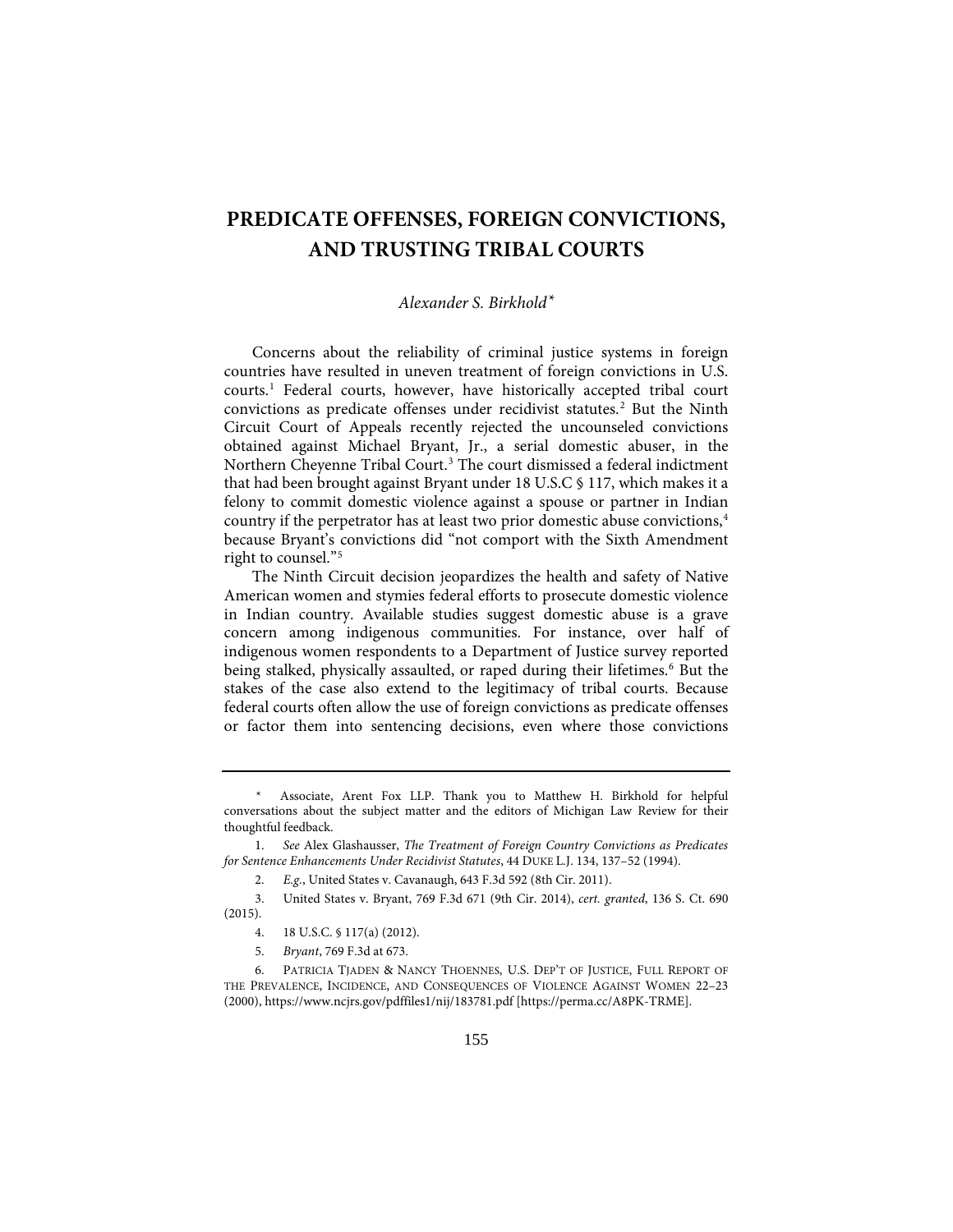# **PREDICATE OFFENSES, FOREIGN CONVICTIONS, AND TRUSTING TRIBAL COURTS**

# *Alexander S. Birkhold[\\*](#page-0-0)*

Concerns about the reliability of criminal justice systems in foreign countries have resulted in uneven treatment of foreign convictions in U.S. courts.[1](#page-0-1) Federal courts, however, have historically accepted tribal court convictions as predicate offenses under recidivist statutes.<sup>[2](#page-0-2)</sup> But the Ninth Circuit Court of Appeals recently rejected the uncounseled convictions obtained against Michael Bryant, Jr., a serial domestic abuser, in the Northern Cheyenne Tribal Court.<sup>[3](#page-0-3)</sup> The court dismissed a federal indictment that had been brought against Bryant under 18 U.S.C § 117, which makes it a felony to commit domestic violence against a spouse or partner in Indian country if the perpetrator has at least two prior domestic abuse convictions,<sup>[4](#page-0-4)</sup> because Bryant's convictions did "not comport with the Sixth Amendment right to counsel."[5](#page-0-5)

The Ninth Circuit decision jeopardizes the health and safety of Native American women and stymies federal efforts to prosecute domestic violence in Indian country. Available studies suggest domestic abuse is a grave concern among indigenous communities. For instance, over half of indigenous women respondents to a Department of Justice survey reported being stalked, physically assaulted, or raped during their lifetimes.<sup>[6](#page-0-6)</sup> But the stakes of the case also extend to the legitimacy of tribal courts. Because federal courts often allow the use of foreign convictions as predicate offenses or factor them into sentencing decisions, even where those convictions

<span id="page-0-0"></span>Associate, Arent Fox LLP. Thank you to Matthew H. Birkhold for helpful conversations about the subject matter and the editors of Michigan Law Review for their thoughtful feedback.

<span id="page-0-1"></span> <sup>1.</sup> *See* Alex Glashausser, *The Treatment of Foreign Country Convictions as Predicates for Sentence Enhancements Under Recidivist Statutes*, 44 DUKE L.J. 134, 137–52 (1994).

 <sup>2.</sup> *E.g.*, United States v. Cavanaugh, 643 F.3d 592 (8th Cir. 2011).

<span id="page-0-3"></span><span id="page-0-2"></span> <sup>3.</sup> United States v. Bryant, 769 F.3d 671 (9th Cir. 2014), *cert. granted*, 136 S. Ct. 690 (2015).

 <sup>4. 18</sup> U.S.C. § 117(a) (2012).

 <sup>5.</sup> *Bryant*, 769 F.3d at 673.

<span id="page-0-6"></span><span id="page-0-5"></span><span id="page-0-4"></span> <sup>6.</sup> PATRICIA TJADEN & NANCY THOENNES, U.S. DEP'T OF JUSTICE, FULL REPORT OF THE PREVALENCE, INCIDENCE, AND CONSEQUENCES OF VIOLENCE AGAINST WOMEN 22–23 (2000), https://www.ncjrs.gov/pdffiles1/nij/183781.pdf [https://perma.cc/A8PK-TRME].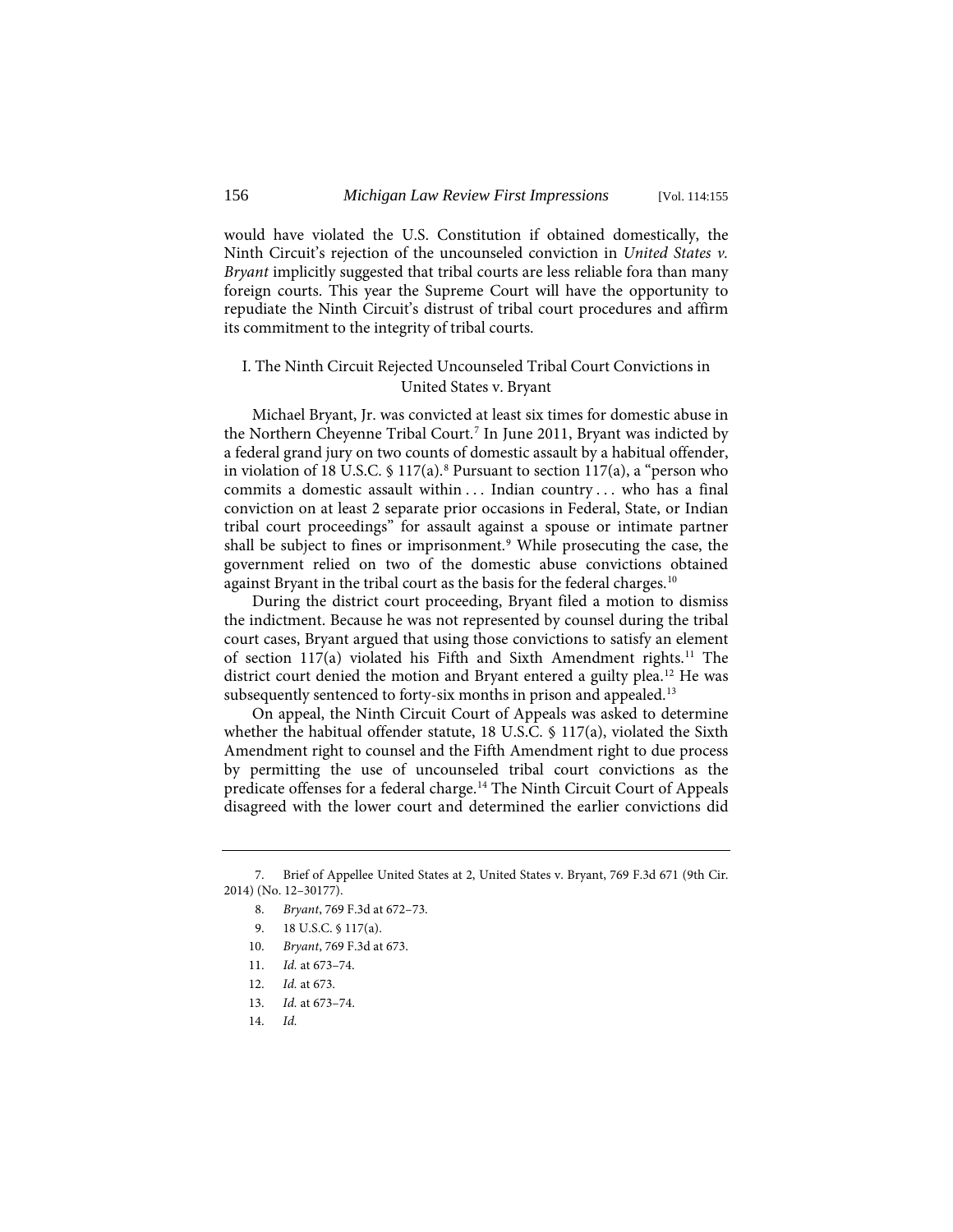would have violated the U.S. Constitution if obtained domestically, the Ninth Circuit's rejection of the uncounseled conviction in *United States v. Bryant* implicitly suggested that tribal courts are less reliable fora than many foreign courts. This year the Supreme Court will have the opportunity to repudiate the Ninth Circuit's distrust of tribal court procedures and affirm its commitment to the integrity of tribal courts.

# I. The Ninth Circuit Rejected Uncounseled Tribal Court Convictions in United States v. Bryant

Michael Bryant, Jr. was convicted at least six times for domestic abuse in the Northern Cheyenne Tribal Court.[7](#page-1-0) In June 2011, Bryant was indicted by a federal grand jury on two counts of domestic assault by a habitual offender, in violation of 1[8](#page-1-1) U.S.C.  $\frac{17(a)}{8}$  Pursuant to section 117(a), a "person who commits a domestic assault within . . . Indian country . . . who has a final conviction on at least 2 separate prior occasions in Federal, State, or Indian tribal court proceedings" for assault against a spouse or intimate partner shall be subject to fines or imprisonment.<sup>[9](#page-1-2)</sup> While prosecuting the case, the government relied on two of the domestic abuse convictions obtained against Bryant in the tribal court as the basis for the federal charges.<sup>[10](#page-1-3)</sup>

During the district court proceeding, Bryant filed a motion to dismiss the indictment. Because he was not represented by counsel during the tribal court cases, Bryant argued that using those convictions to satisfy an element of section [11](#page-1-4)7(a) violated his Fifth and Sixth Amendment rights.<sup>11</sup> The district court denied the motion and Bryant entered a guilty plea.<sup>[12](#page-1-5)</sup> He was subsequently sentenced to forty-six months in prison and appealed.<sup>13</sup>

On appeal, the Ninth Circuit Court of Appeals was asked to determine whether the habitual offender statute, 18 U.S.C. § 117(a), violated the Sixth Amendment right to counsel and the Fifth Amendment right to due process by permitting the use of uncounseled tribal court convictions as the predicate offenses for a federal charge.<sup>[14](#page-1-7)</sup> The Ninth Circuit Court of Appeals disagreed with the lower court and determined the earlier convictions did

<span id="page-1-4"></span><span id="page-1-3"></span><span id="page-1-2"></span><span id="page-1-1"></span><span id="page-1-0"></span> <sup>7.</sup> Brief of Appellee United States at 2, United States v. Bryant, 769 F.3d 671 (9th Cir. 2014) (No. 12–30177).

 <sup>8.</sup> *Bryant*, 769 F.3d at 672–73.

 <sup>9. 18</sup> U.S.C. § 117(a).

<sup>10.</sup> *Bryant*, 769 F.3d at 673.

<sup>11.</sup> *Id.* at 673–74.

<span id="page-1-6"></span><span id="page-1-5"></span><sup>12.</sup> *Id.* at 673.

<span id="page-1-7"></span><sup>13.</sup> *Id.* at 673–74.

<sup>14.</sup> *Id.*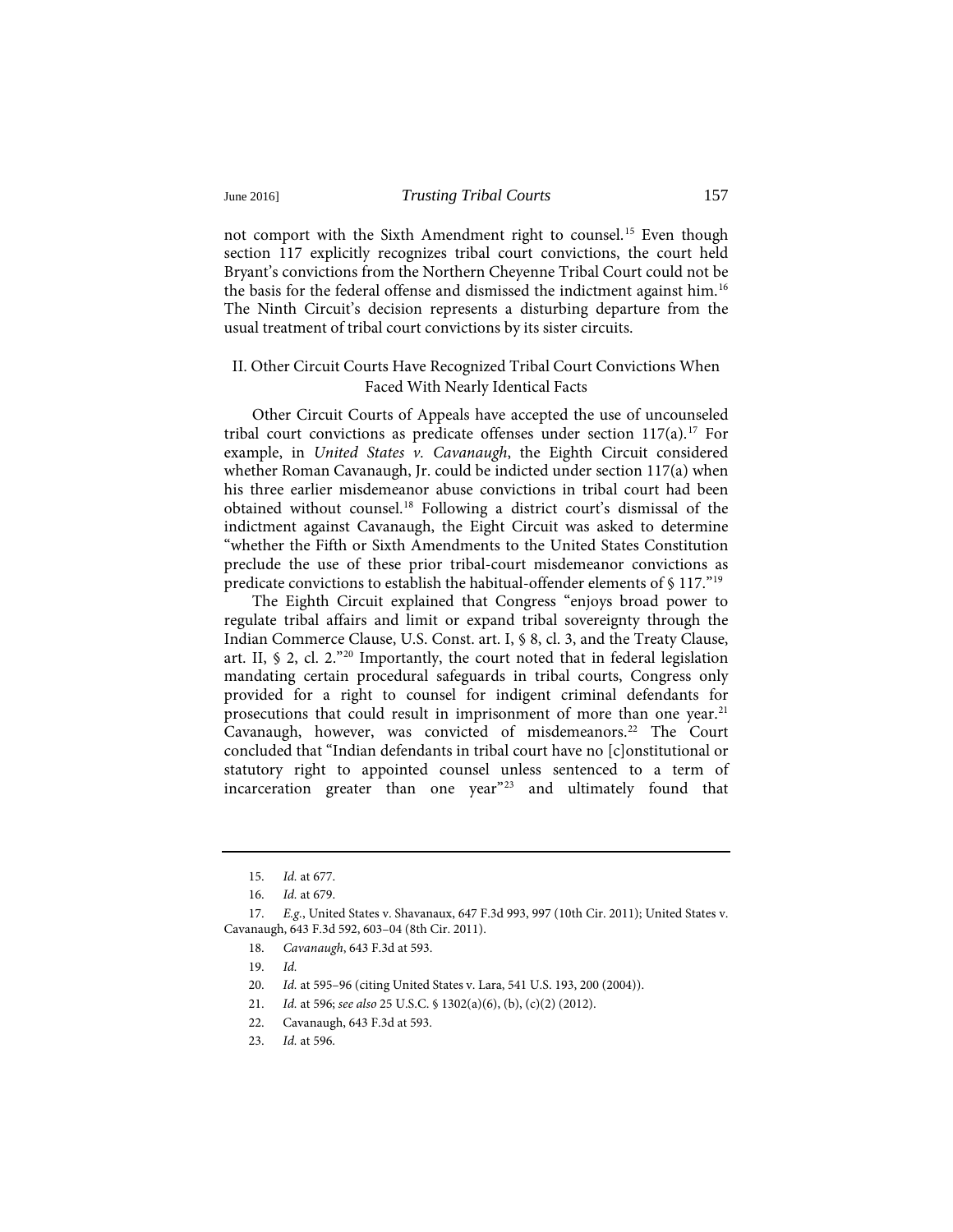#### June 2016] *Trusting Tribal Courts* 157

not comport with the Sixth Amendment right to counsel.[15](#page-2-0) Even though section 117 explicitly recognizes tribal court convictions, the court held Bryant's convictions from the Northern Cheyenne Tribal Court could not be the basis for the federal offense and dismissed the indictment against him.[16](#page-2-1) The Ninth Circuit's decision represents a disturbing departure from the usual treatment of tribal court convictions by its sister circuits.

# II. Other Circuit Courts Have Recognized Tribal Court Convictions When Faced With Nearly Identical Facts

Other Circuit Courts of Appeals have accepted the use of uncounseled tribal court convictions as predicate offenses under section  $117(a)$  $117(a)$  $117(a)$ .<sup>17</sup> For example, in *United States v. Cavanaugh*, the Eighth Circuit considered whether Roman Cavanaugh, Jr. could be indicted under section 117(a) when his three earlier misdemeanor abuse convictions in tribal court had been obtained without counsel[.18](#page-2-3) Following a district court's dismissal of the indictment against Cavanaugh, the Eight Circuit was asked to determine "whether the Fifth or Sixth Amendments to the United States Constitution preclude the use of these prior tribal-court misdemeanor convictions as predicate convictions to establish the habitual-offender elements of § 117."[19](#page-2-4)

The Eighth Circuit explained that Congress "enjoys broad power to regulate tribal affairs and limit or expand tribal sovereignty through the Indian Commerce Clause, U.S. Const. art. I, § 8, cl. 3, and the Treaty Clause, art. II, § 2, cl. 2."[20](#page-2-5) Importantly, the court noted that in federal legislation mandating certain procedural safeguards in tribal courts, Congress only provided for a right to counsel for indigent criminal defendants for prosecutions that could result in imprisonment of more than one year.[21](#page-2-6) Cavanaugh, however, was convicted of misdemeanors.<sup>[22](#page-2-7)</sup> The Court concluded that "Indian defendants in tribal court have no [c]onstitutional or statutory right to appointed counsel unless sentenced to a term of incarceration greater than one year"[23](#page-2-8) and ultimately found that

<span id="page-2-6"></span><span id="page-2-5"></span><span id="page-2-4"></span><span id="page-2-3"></span><span id="page-2-2"></span><span id="page-2-1"></span><span id="page-2-0"></span>17. *E.g.*, United States v. Shavanaux, 647 F.3d 993, 997 (10th Cir. 2011); United States v. Cavanaugh, 643 F.3d 592, 603–04 (8th Cir. 2011).

<sup>15.</sup> *Id.* at 677.

<sup>16.</sup> *Id.* at 679.

<sup>18.</sup> *Cavanaugh*, 643 F.3d at 593.

<sup>19.</sup> *Id.*

<sup>20.</sup> *Id.* at 595–96 (citing United States v. Lara, 541 U.S. 193, 200 (2004)).

<sup>21.</sup> *Id.* at 596; *see also* 25 U.S.C. § 1302(a)(6), (b), (c)(2) (2012).

<sup>22.</sup> Cavanaugh, 643 F.3d at 593.

<span id="page-2-8"></span><span id="page-2-7"></span><sup>23.</sup> *Id.* at 596.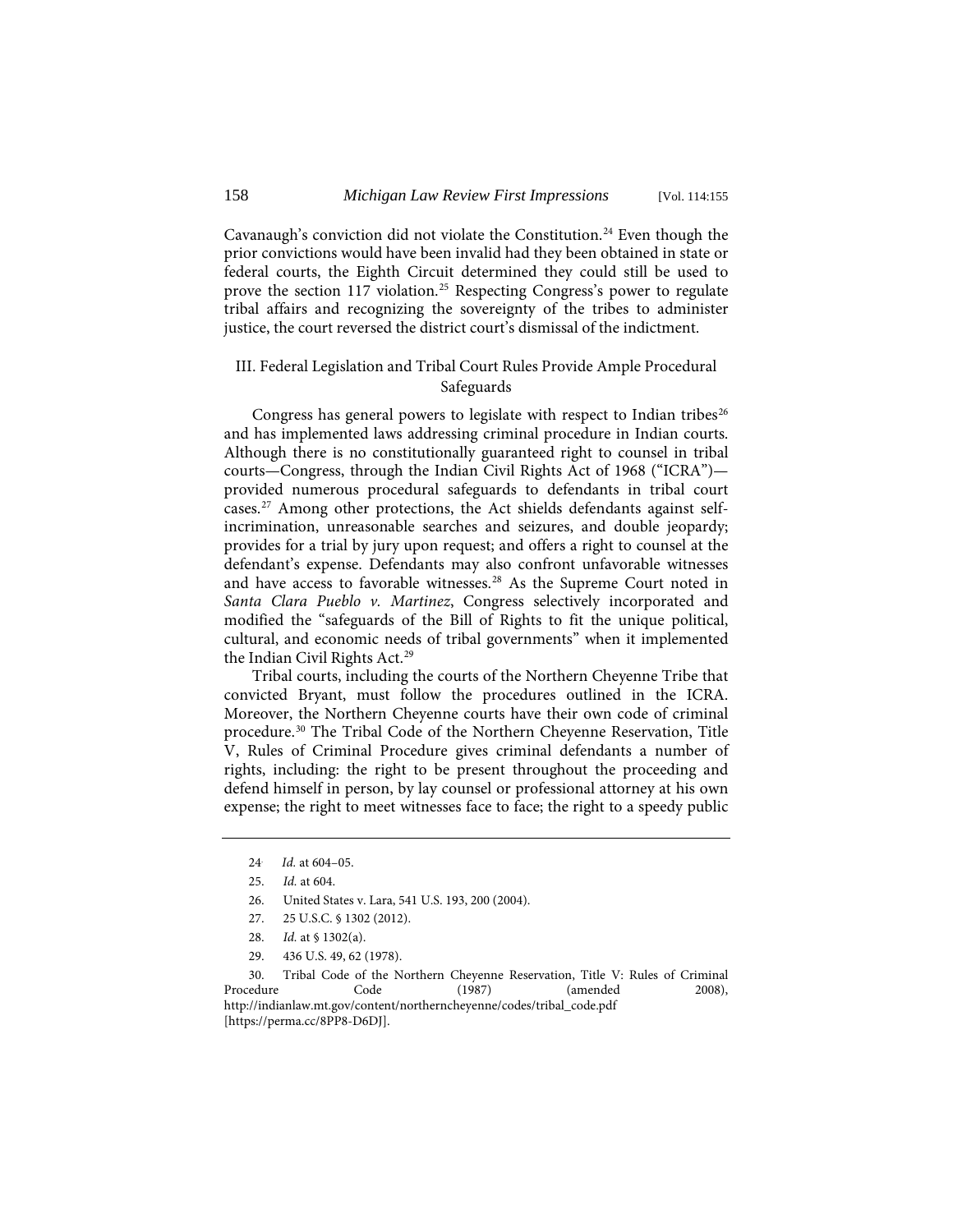Cavanaugh's conviction did not violate the Constitution.<sup>[24](#page-3-0)</sup> Even though the prior convictions would have been invalid had they been obtained in state or federal courts, the Eighth Circuit determined they could still be used to prove the section 117 violation.<sup>[25](#page-3-1)</sup> Respecting Congress's power to regulate tribal affairs and recognizing the sovereignty of the tribes to administer justice, the court reversed the district court's dismissal of the indictment.

## III. Federal Legislation and Tribal Court Rules Provide Ample Procedural Safeguards

Congress has general powers to legislate with respect to Indian tribes<sup>[26](#page-3-2)</sup> and has implemented laws addressing criminal procedure in Indian courts. Although there is no constitutionally guaranteed right to counsel in tribal courts—Congress, through the Indian Civil Rights Act of 1968 ("ICRA") provided numerous procedural safeguards to defendants in tribal court cases.[27](#page-3-3) Among other protections, the Act shields defendants against selfincrimination, unreasonable searches and seizures, and double jeopardy; provides for a trial by jury upon request; and offers a right to counsel at the defendant's expense. Defendants may also confront unfavorable witnesses and have access to favorable witnesses.<sup>[28](#page-3-4)</sup> As the Supreme Court noted in *Santa Clara Pueblo v. Martinez*, Congress selectively incorporated and modified the "safeguards of the Bill of Rights to fit the unique political, cultural, and economic needs of tribal governments" when it implemented the Indian Civil Rights Act.<sup>[29](#page-3-5)</sup>

Tribal courts, including the courts of the Northern Cheyenne Tribe that convicted Bryant, must follow the procedures outlined in the ICRA. Moreover, the Northern Cheyenne courts have their own code of criminal procedure.[30](#page-3-6) The Tribal Code of the Northern Cheyenne Reservation, Title V, Rules of Criminal Procedure gives criminal defendants a number of rights, including: the right to be present throughout the proceeding and defend himself in person, by lay counsel or professional attorney at his own expense; the right to meet witnesses face to face; the right to a speedy public

<span id="page-3-6"></span><span id="page-3-5"></span><span id="page-3-4"></span><span id="page-3-3"></span><span id="page-3-2"></span><span id="page-3-1"></span>30. Tribal Code of the Northern Cheyenne Reservation, Title V: Rules of Criminal Procedure Code (1987) (amended 2008), Procedure Code (1987) (amended 2008), http://indianlaw.mt.gov/content/northerncheyenne/codes/tribal\_code.pdf [https://perma.cc/8PP8-D6DJ].

<span id="page-3-0"></span><sup>24.</sup> *Id.* at 604–05.

<sup>25.</sup> *Id.* at 604.

<sup>26.</sup> United States v. Lara, 541 U.S. 193, 200 (2004).

<sup>27. 25</sup> U.S.C. § 1302 (2012).

<sup>28.</sup> *Id.* at § 1302(a).

<sup>29. 436</sup> U.S. 49, 62 (1978).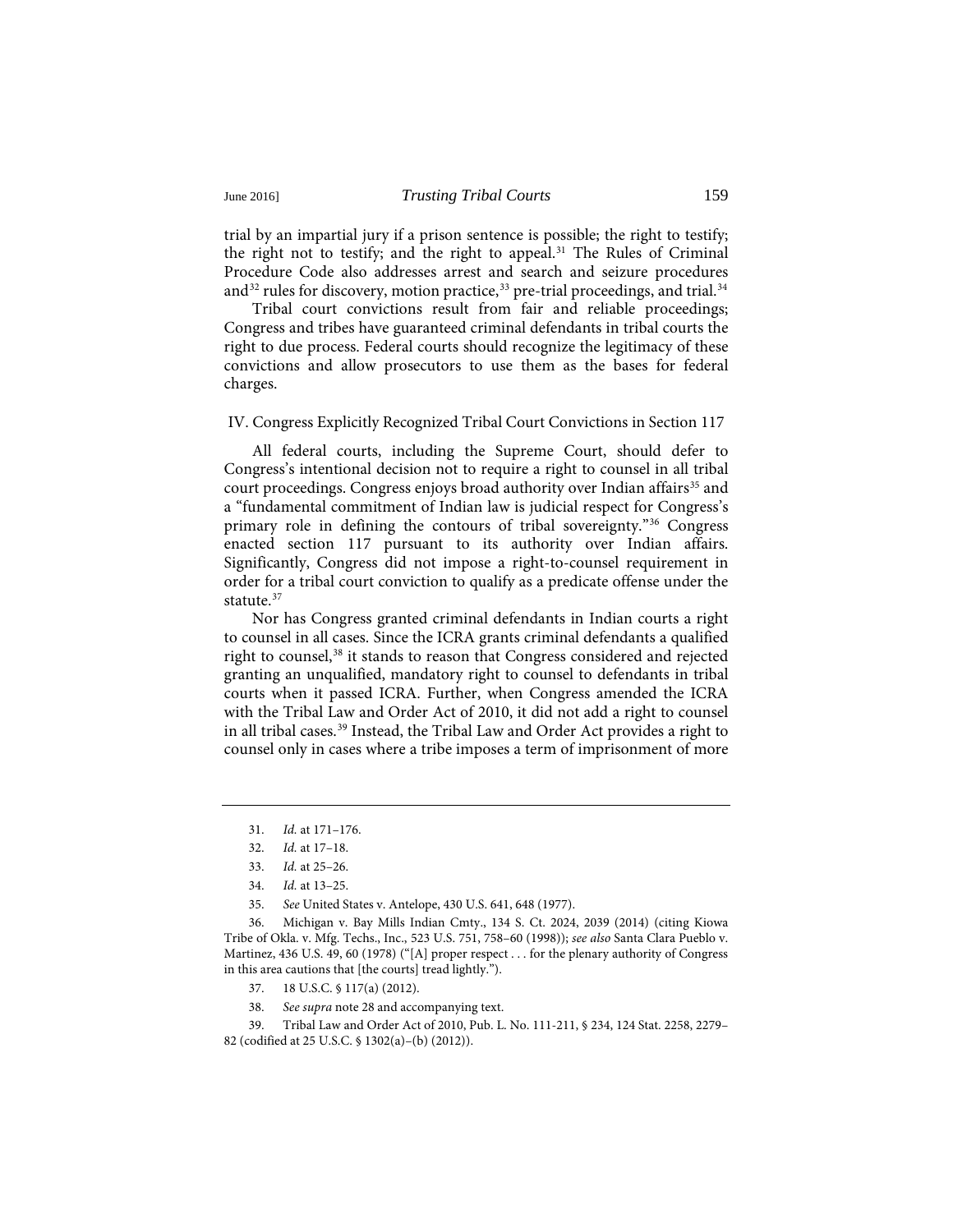trial by an impartial jury if a prison sentence is possible; the right to testify; the right not to testify; and the right to appeal.<sup>31</sup> The Rules of Criminal Procedure Code also addresses arrest and search and seizure procedures and<sup>32</sup> rules for discovery, motion practice,<sup>[33](#page-4-2)</sup> pre-trial proceedings, and trial.<sup>[34](#page-4-3)</sup>

Tribal court convictions result from fair and reliable proceedings; Congress and tribes have guaranteed criminal defendants in tribal courts the right to due process. Federal courts should recognize the legitimacy of these convictions and allow prosecutors to use them as the bases for federal charges.

#### IV. Congress Explicitly Recognized Tribal Court Convictions in Section 117

All federal courts, including the Supreme Court, should defer to Congress's intentional decision not to require a right to counsel in all tribal court proceedings. Congress enjoys broad authority over Indian affairs<sup>35</sup> and a "fundamental commitment of Indian law is judicial respect for Congress's primary role in defining the contours of tribal sovereignty.["36](#page-4-5) Congress enacted section 117 pursuant to its authority over Indian affairs. Significantly, Congress did not impose a right-to-counsel requirement in order for a tribal court conviction to qualify as a predicate offense under the statute.<sup>[37](#page-4-6)</sup>

Nor has Congress granted criminal defendants in Indian courts a right to counsel in all cases. Since the ICRA grants criminal defendants a qualified right to counsel,<sup>[38](#page-4-7)</sup> it stands to reason that Congress considered and rejected granting an unqualified, mandatory right to counsel to defendants in tribal courts when it passed ICRA. Further, when Congress amended the ICRA with the Tribal Law and Order Act of 2010, it did not add a right to counsel in all tribal cases.[39](#page-4-8) Instead, the Tribal Law and Order Act provides a right to counsel only in cases where a tribe imposes a term of imprisonment of more

35. *See* United States v. Antelope, 430 U.S. 641, 648 (1977).

<span id="page-4-5"></span><span id="page-4-4"></span><span id="page-4-3"></span><span id="page-4-2"></span><span id="page-4-1"></span><span id="page-4-0"></span>36. Michigan v. Bay Mills Indian Cmty., 134 S. Ct. 2024, 2039 (2014) (citing Kiowa Tribe of Okla. v. Mfg. Techs., Inc., 523 U.S. 751, 758–60 (1998)); *see also* Santa Clara Pueblo v. Martinez, 436 U.S. 49, 60 (1978) ("[A] proper respect . . . for the plenary authority of Congress in this area cautions that [the courts] tread lightly.").

- 37. 18 U.S.C. § 117(a) (2012).
- 38. *See supra* note 28 and accompanying text.

<span id="page-4-8"></span><span id="page-4-7"></span><span id="page-4-6"></span>39. Tribal Law and Order Act of 2010, Pub. L. No. 111-211, § 234, 124 Stat. 2258, 2279– 82 (codified at 25 U.S.C. § 1302(a)–(b) (2012)).

<sup>31.</sup> *Id.* at 171–176.

<sup>32.</sup> *Id.* at 17–18.

<sup>33.</sup> *Id.* at 25–26.

<sup>34.</sup> *Id.* at 13–25.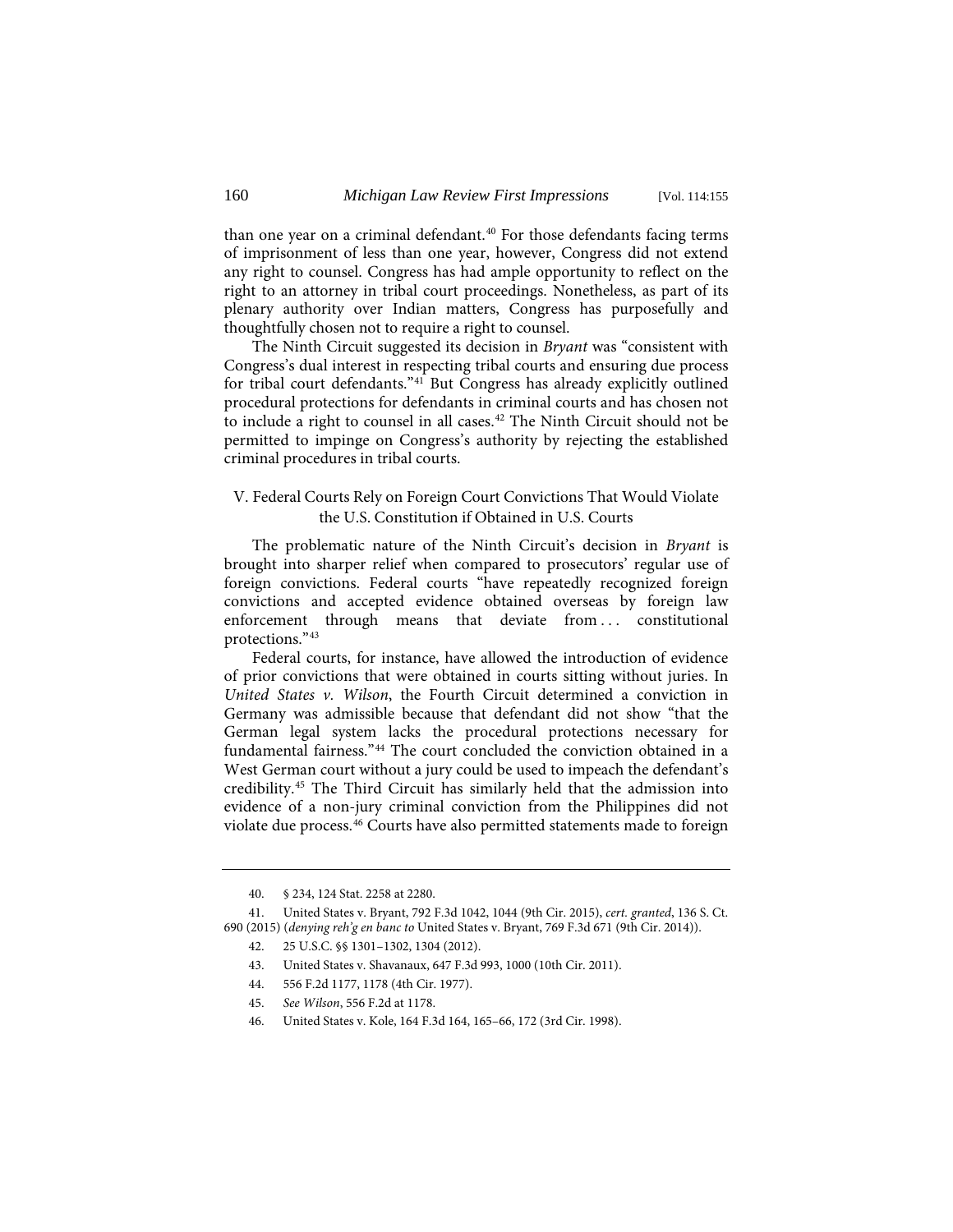than one year on a criminal defendant.<sup>[40](#page-5-0)</sup> For those defendants facing terms of imprisonment of less than one year, however, Congress did not extend any right to counsel. Congress has had ample opportunity to reflect on the right to an attorney in tribal court proceedings. Nonetheless, as part of its plenary authority over Indian matters, Congress has purposefully and thoughtfully chosen not to require a right to counsel.

The Ninth Circuit suggested its decision in *Bryant* was "consistent with Congress's dual interest in respecting tribal courts and ensuring due process for tribal court defendants."[41](#page-5-1) But Congress has already explicitly outlined procedural protections for defendants in criminal courts and has chosen not to include a right to counsel in all cases.<sup>[42](#page-5-2)</sup> The Ninth Circuit should not be permitted to impinge on Congress's authority by rejecting the established criminal procedures in tribal courts.

# V. Federal Courts Rely on Foreign Court Convictions That Would Violate the U.S. Constitution if Obtained in U.S. Courts

The problematic nature of the Ninth Circuit's decision in *Bryant* is brought into sharper relief when compared to prosecutors' regular use of foreign convictions. Federal courts "have repeatedly recognized foreign convictions and accepted evidence obtained overseas by foreign law enforcement through means that deviate from ... constitutional protections."[43](#page-5-3)

Federal courts, for instance, have allowed the introduction of evidence of prior convictions that were obtained in courts sitting without juries. In *United States v. Wilson*, the Fourth Circuit determined a conviction in Germany was admissible because that defendant did not show "that the German legal system lacks the procedural protections necessary for fundamental fairness."[44](#page-5-4) The court concluded the conviction obtained in a West German court without a jury could be used to impeach the defendant's credibility.[45](#page-5-5) The Third Circuit has similarly held that the admission into evidence of a non-jury criminal conviction from the Philippines did not violate due process.<sup>[46](#page-5-6)</sup> Courts have also permitted statements made to foreign

<sup>40. § 234, 124</sup> Stat. 2258 at 2280.

<span id="page-5-5"></span><span id="page-5-4"></span><span id="page-5-3"></span><span id="page-5-2"></span><span id="page-5-1"></span><span id="page-5-0"></span><sup>41.</sup> United States v. Bryant, 792 F.3d 1042, 1044 (9th Cir. 2015), *cert. granted*, 136 S. Ct. 690 (2015) (*denying reh'g en banc to* United States v. Bryant, 769 F.3d 671 (9th Cir. 2014)).

<sup>42. 25</sup> U.S.C. §§ 1301–1302, 1304 (2012).

<sup>43.</sup> United States v. Shavanaux, 647 F.3d 993, 1000 (10th Cir. 2011).

<sup>44. 556</sup> F.2d 1177, 1178 (4th Cir. 1977).

<sup>45.</sup> *See Wilson*, 556 F.2d at 1178.

<span id="page-5-6"></span><sup>46.</sup> United States v. Kole, 164 F.3d 164, 165–66, 172 (3rd Cir. 1998).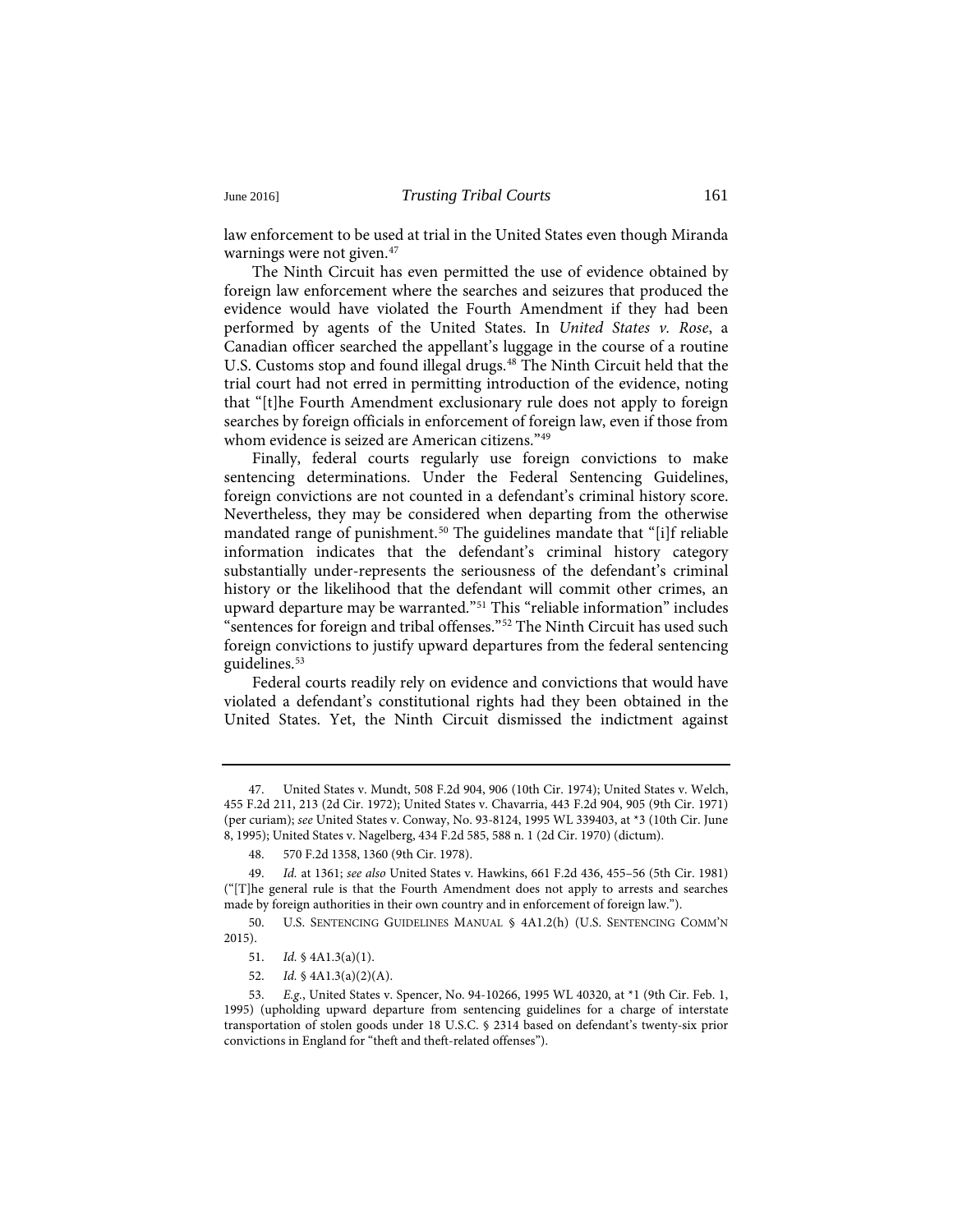law enforcement to be used at trial in the United States even though Miranda warnings were not given.<sup>[47](#page-6-0)</sup>

The Ninth Circuit has even permitted the use of evidence obtained by foreign law enforcement where the searches and seizures that produced the evidence would have violated the Fourth Amendment if they had been performed by agents of the United States. In *United States v. Rose*, a Canadian officer searched the appellant's luggage in the course of a routine U.S. Customs stop and found illegal drugs.<sup>[48](#page-6-1)</sup> The Ninth Circuit held that the trial court had not erred in permitting introduction of the evidence, noting that "[t]he Fourth Amendment exclusionary rule does not apply to foreign searches by foreign officials in enforcement of foreign law, even if those from whom evidence is seized are American citizens."[49](#page-6-2)

Finally, federal courts regularly use foreign convictions to make sentencing determinations. Under the Federal Sentencing Guidelines, foreign convictions are not counted in a defendant's criminal history score. Nevertheless, they may be considered when departing from the otherwise mandated range of punishment.<sup>[50](#page-6-3)</sup> The guidelines mandate that "[i]f reliable information indicates that the defendant's criminal history category substantially under-represents the seriousness of the defendant's criminal history or the likelihood that the defendant will commit other crimes, an upward departure may be warranted.["51](#page-6-4) This "reliable information" includes "sentences for foreign and tribal offenses."[52](#page-6-5) The Ninth Circuit has used such foreign convictions to justify upward departures from the federal sentencing guidelines.[53](#page-6-6)

Federal courts readily rely on evidence and convictions that would have violated a defendant's constitutional rights had they been obtained in the United States. Yet, the Ninth Circuit dismissed the indictment against

<span id="page-6-0"></span><sup>47.</sup> United States v. Mundt, 508 F.2d 904, 906 (10th Cir. 1974); United States v. Welch, 455 F.2d 211, 213 (2d Cir. 1972); United States v. Chavarria, 443 F.2d 904, 905 (9th Cir. 1971) (per curiam); *see* United States v. Conway, No. 93-8124, 1995 WL 339403, at \*3 (10th Cir. June 8, 1995); United States v. Nagelberg, 434 F.2d 585, 588 n. 1 (2d Cir. 1970) (dictum).

<sup>48. 570</sup> F.2d 1358, 1360 (9th Cir. 1978).

<span id="page-6-2"></span><span id="page-6-1"></span><sup>49.</sup> *Id.* at 1361; *see also* United States v. Hawkins, 661 F.2d 436, 455–56 (5th Cir. 1981) ("[T]he general rule is that the Fourth Amendment does not apply to arrests and searches made by foreign authorities in their own country and in enforcement of foreign law.").

<span id="page-6-4"></span><span id="page-6-3"></span><sup>50.</sup> U.S. SENTENCING GUIDELINES MANUAL § 4A1.2(h) (U.S. SENTENCING COMM'N 2015).

<sup>51.</sup> *Id.* § 4A1.3(a)(1).

<sup>52.</sup> *Id.* § 4A1.3(a)(2)(A).

<span id="page-6-6"></span><span id="page-6-5"></span><sup>53.</sup> *E.g.*, United States v. Spencer, No. 94-10266, 1995 WL 40320, at \*1 (9th Cir. Feb. 1, 1995) (upholding upward departure from sentencing guidelines for a charge of interstate transportation of stolen goods under 18 U.S.C. § 2314 based on defendant's twenty-six prior convictions in England for "theft and theft-related offenses").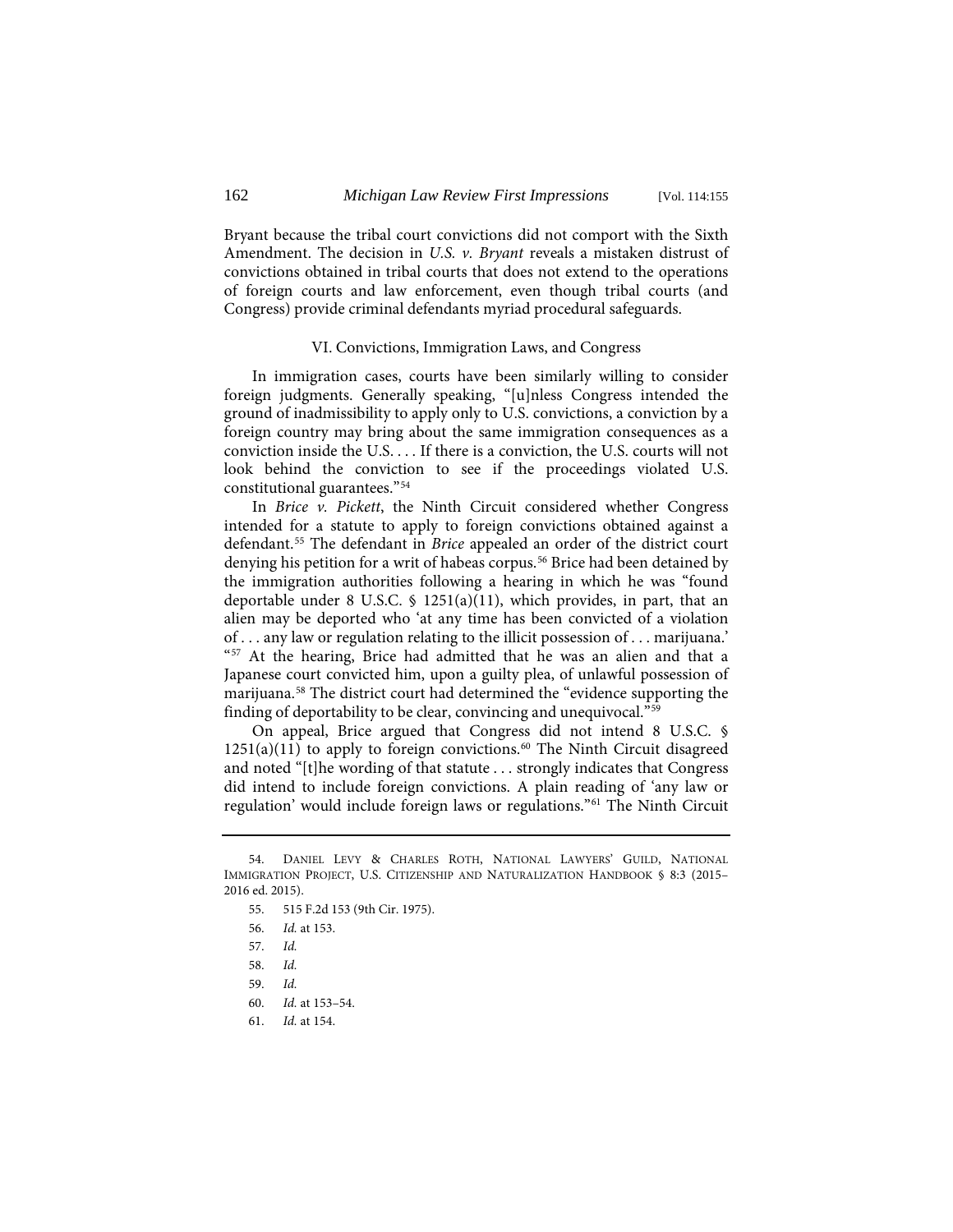Bryant because the tribal court convictions did not comport with the Sixth Amendment. The decision in *U.S. v. Bryant* reveals a mistaken distrust of convictions obtained in tribal courts that does not extend to the operations of foreign courts and law enforcement, even though tribal courts (and Congress) provide criminal defendants myriad procedural safeguards.

#### VI. Convictions, Immigration Laws, and Congress

In immigration cases, courts have been similarly willing to consider foreign judgments. Generally speaking, "[u]nless Congress intended the ground of inadmissibility to apply only to U.S. convictions, a conviction by a foreign country may bring about the same immigration consequences as a conviction inside the U.S. . . . If there is a conviction, the U.S. courts will not look behind the conviction to see if the proceedings violated U.S. constitutional guarantees."[54](#page-7-0)

In *Brice v. Pickett*, the Ninth Circuit considered whether Congress intended for a statute to apply to foreign convictions obtained against a defendant.[55](#page-7-1) The defendant in *Brice* appealed an order of the district court denying his petition for a writ of habeas corpus.<sup>56</sup> Brice had been detained by the immigration authorities following a hearing in which he was "found deportable under 8 U.S.C.  $\frac{1251(a)(11)}{110(b-11)}$ , which provides, in part, that an alien may be deported who 'at any time has been convicted of a violation of . . . any law or regulation relating to the illicit possession of . . . marijuana.' "<sup>[57](#page-7-3)</sup> At the hearing, Brice had admitted that he was an alien and that a Japanese court convicted him, upon a guilty plea, of unlawful possession of marijuana.[58](#page-7-4) The district court had determined the "evidence supporting the finding of deportability to be clear, convincing and unequivocal.["59](#page-7-5)

On appeal, Brice argued that Congress did not intend 8 U.S.C. §  $1251(a)(11)$  to apply to foreign convictions.<sup>[60](#page-7-6)</sup> The Ninth Circuit disagreed and noted "[t]he wording of that statute . . . strongly indicates that Congress did intend to include foreign convictions. A plain reading of 'any law or regulation' would include foreign laws or regulations."[61](#page-7-7) The Ninth Circuit

<span id="page-7-3"></span><span id="page-7-2"></span><span id="page-7-1"></span><span id="page-7-0"></span><sup>54.</sup> DANIEL LEVY & CHARLES ROTH, NATIONAL LAWYERS' GUILD, NATIONAL IMMIGRATION PROJECT, U.S. CITIZENSHIP AND NATURALIZATION HANDBOOK § 8:3 (2015– 2016 ed. 2015).

<sup>55. 515</sup> F.2d 153 (9th Cir. 1975).

<sup>56.</sup> *Id.* at 153.

<sup>57.</sup> *Id.*

<span id="page-7-5"></span><span id="page-7-4"></span><sup>58.</sup> *Id.*

<sup>59.</sup> *Id.*

<span id="page-7-6"></span><sup>60.</sup> *Id.* at 153–54.

<span id="page-7-7"></span><sup>61.</sup> *Id.* at 154.